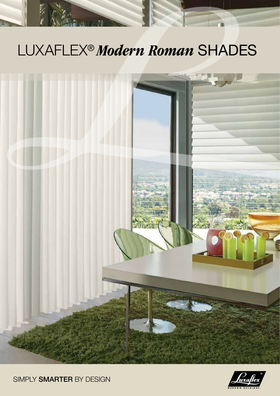## LUXAFLEX® *Modern roman* Shades